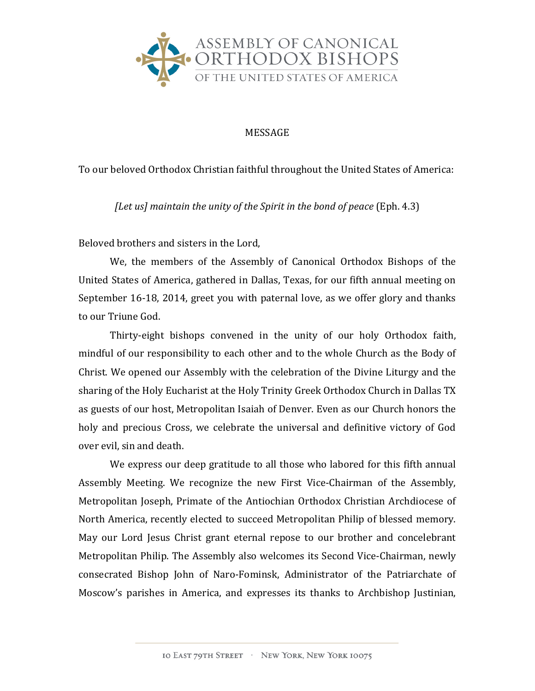

## MESSAGE

To our beloved Orthodox Christian faithful throughout the United States of America:

*[Let us]* maintain the unity of the Spirit in the bond of peace (Eph. 4.3)

Beloved brothers and sisters in the Lord.

We, the members of the Assembly of Canonical Orthodox Bishops of the United States of America, gathered in Dallas, Texas, for our fifth annual meeting on September 16-18, 2014, greet you with paternal love, as we offer glory and thanks to our Triune God.

Thirty-eight bishops convened in the unity of our holy Orthodox faith, mindful of our responsibility to each other and to the whole Church as the Body of Christ. We opened our Assembly with the celebration of the Divine Liturgy and the sharing of the Holy Eucharist at the Holy Trinity Greek Orthodox Church in Dallas TX as guests of our host, Metropolitan Isaiah of Denver. Even as our Church honors the holy and precious Cross, we celebrate the universal and definitive victory of God over evil, sin and death.

We express our deep gratitude to all those who labored for this fifth annual Assembly Meeting. We recognize the new First Vice-Chairman of the Assembly, Metropolitan Joseph, Primate of the Antiochian Orthodox Christian Archdiocese of North America, recently elected to succeed Metropolitan Philip of blessed memory. May our Lord Jesus Christ grant eternal repose to our brother and concelebrant Metropolitan Philip. The Assembly also welcomes its Second Vice-Chairman, newly consecrated Bishop John of Naro-Fominsk, Administrator of the Patriarchate of Moscow's parishes in America, and expresses its thanks to Archbishop Justinian,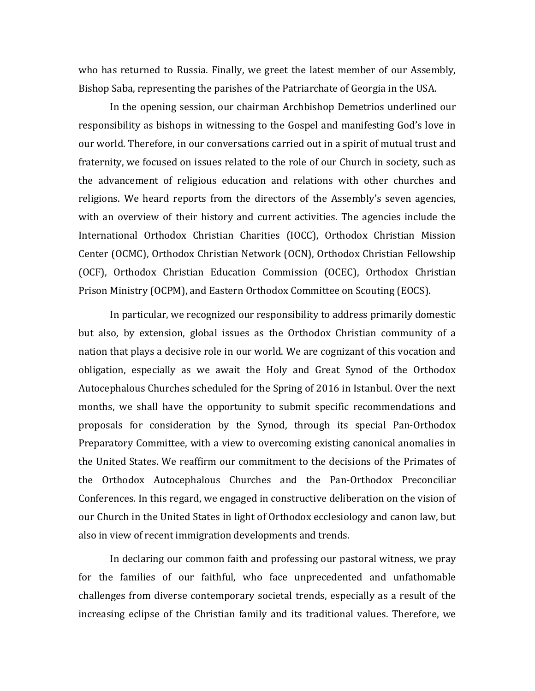who has returned to Russia. Finally, we greet the latest member of our Assembly, Bishop Saba, representing the parishes of the Patriarchate of Georgia in the USA.

In the opening session, our chairman Archbishop Demetrios underlined our responsibility as bishops in witnessing to the Gospel and manifesting God's love in our world. Therefore, in our conversations carried out in a spirit of mutual trust and fraternity, we focused on issues related to the role of our Church in society, such as the advancement of religious education and relations with other churches and religions. We heard reports from the directors of the Assembly's seven agencies, with an overview of their history and current activities. The agencies include the International Orthodox Christian Charities (IOCC), Orthodox Christian Mission Center (OCMC), Orthodox Christian Network (OCN), Orthodox Christian Fellowship (OCF), Orthodox Christian Education Commission (OCEC), Orthodox Christian Prison Ministry (OCPM), and Eastern Orthodox Committee on Scouting (EOCS).

In particular, we recognized our responsibility to address primarily domestic but also, by extension, global issues as the Orthodox Christian community of a nation that plays a decisive role in our world. We are cognizant of this vocation and obligation, especially as we await the Holy and Great Synod of the Orthodox Autocephalous Churches scheduled for the Spring of 2016 in Istanbul. Over the next months, we shall have the opportunity to submit specific recommendations and proposals for consideration by the Synod, through its special Pan-Orthodox Preparatory Committee, with a view to overcoming existing canonical anomalies in the United States. We reaffirm our commitment to the decisions of the Primates of the Orthodox Autocephalous Churches and the Pan-Orthodox Preconciliar Conferences. In this regard, we engaged in constructive deliberation on the vision of our Church in the United States in light of Orthodox ecclesiology and canon law, but also in view of recent immigration developments and trends.

In declaring our common faith and professing our pastoral witness, we pray for the families of our faithful, who face unprecedented and unfathomable challenges from diverse contemporary societal trends, especially as a result of the increasing eclipse of the Christian family and its traditional values. Therefore, we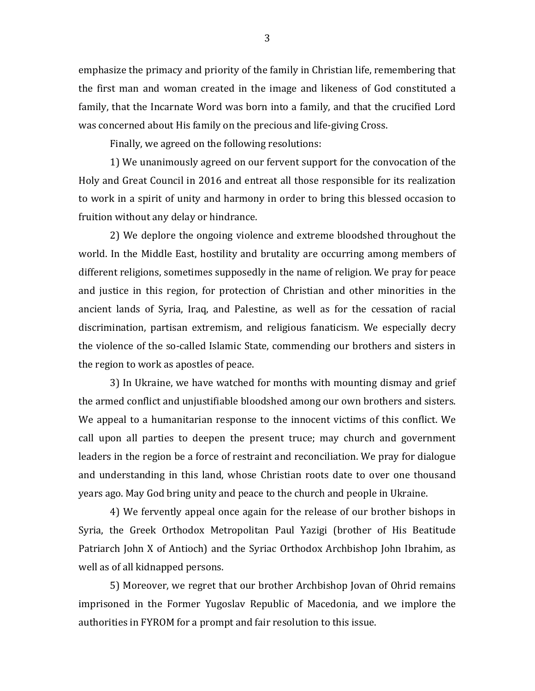emphasize the primacy and priority of the family in Christian life, remembering that the first man and woman created in the image and likeness of God constituted a family, that the Incarnate Word was born into a family, and that the crucified Lord was concerned about His family on the precious and life-giving Cross.

Finally, we agreed on the following resolutions:

1) We unanimously agreed on our fervent support for the convocation of the Holy and Great Council in 2016 and entreat all those responsible for its realization to work in a spirit of unity and harmony in order to bring this blessed occasion to fruition without any delay or hindrance.

2) We deplore the ongoing violence and extreme bloodshed throughout the world. In the Middle East, hostility and brutality are occurring among members of different religions, sometimes supposedly in the name of religion. We pray for peace and justice in this region, for protection of Christian and other minorities in the ancient lands of Syria, Iraq, and Palestine, as well as for the cessation of racial discrimination, partisan extremism, and religious fanaticism. We especially decry the violence of the so-called Islamic State, commending our brothers and sisters in the region to work as apostles of peace.

3) In Ukraine, we have watched for months with mounting dismay and grief the armed conflict and unjustifiable bloodshed among our own brothers and sisters. We appeal to a humanitarian response to the innocent victims of this conflict. We call upon all parties to deepen the present truce; may church and government leaders in the region be a force of restraint and reconciliation. We pray for dialogue and understanding in this land, whose Christian roots date to over one thousand years ago. May God bring unity and peace to the church and people in Ukraine.

4) We fervently appeal once again for the release of our brother bishops in Syria, the Greek Orthodox Metropolitan Paul Yazigi (brother of His Beatitude Patriarch John X of Antioch) and the Syriac Orthodox Archbishop John Ibrahim, as well as of all kidnapped persons.

5) Moreover, we regret that our brother Archbishop Jovan of Ohrid remains imprisoned in the Former Yugoslav Republic of Macedonia, and we implore the authorities in FYROM for a prompt and fair resolution to this issue.